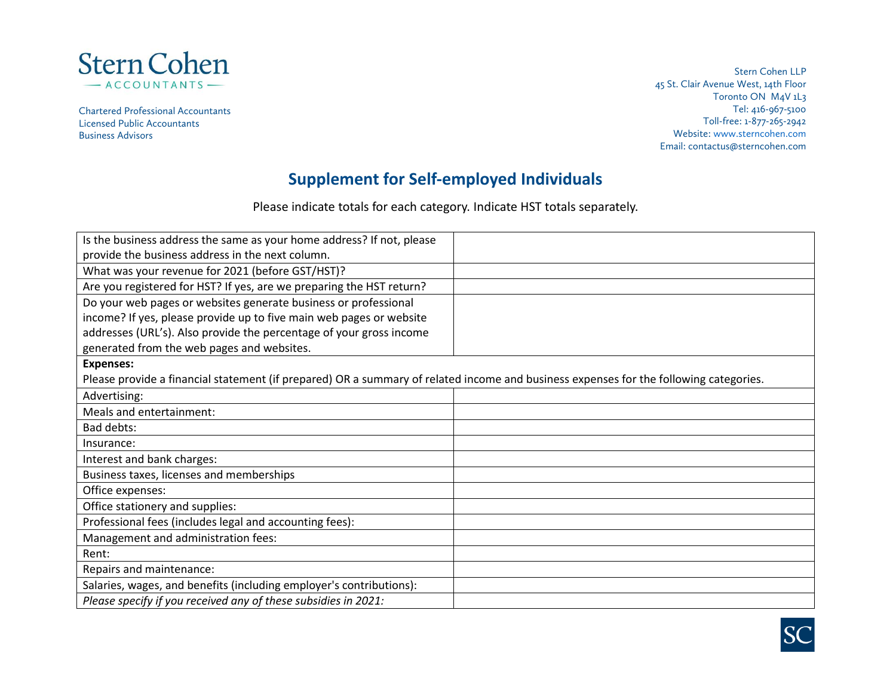

Chartered Professional Accountants Licensed Public Accountants Business Advisors

Stern Cohen LLP 45 St. Clair Avenue West, 14th Floor Toronto ON M4V 1L3 Tel: 416-967-5100 Toll-free: 1-877-265-2942 Website[: www.sterncohen.com](http://www.sterncohen.com/) Email: contactus@sterncohen.com

## **Supplement for Self-employed Individuals**

Please indicate totals for each category. Indicate HST totals separately.

| Is the business address the same as your home address? If not, please                                                                 |  |  |
|---------------------------------------------------------------------------------------------------------------------------------------|--|--|
| provide the business address in the next column.                                                                                      |  |  |
| What was your revenue for 2021 (before GST/HST)?                                                                                      |  |  |
| Are you registered for HST? If yes, are we preparing the HST return?                                                                  |  |  |
| Do your web pages or websites generate business or professional                                                                       |  |  |
| income? If yes, please provide up to five main web pages or website                                                                   |  |  |
| addresses (URL's). Also provide the percentage of your gross income                                                                   |  |  |
| generated from the web pages and websites.                                                                                            |  |  |
| <b>Expenses:</b>                                                                                                                      |  |  |
| Please provide a financial statement (if prepared) OR a summary of related income and business expenses for the following categories. |  |  |
| Advertising:                                                                                                                          |  |  |
| Meals and entertainment:                                                                                                              |  |  |
| Bad debts:                                                                                                                            |  |  |
| Insurance:                                                                                                                            |  |  |
| Interest and bank charges:                                                                                                            |  |  |
| Business taxes, licenses and memberships                                                                                              |  |  |
| Office expenses:                                                                                                                      |  |  |
| Office stationery and supplies:                                                                                                       |  |  |
| Professional fees (includes legal and accounting fees):                                                                               |  |  |
| Management and administration fees:                                                                                                   |  |  |
| Rent:                                                                                                                                 |  |  |
| Repairs and maintenance:                                                                                                              |  |  |
| Salaries, wages, and benefits (including employer's contributions):                                                                   |  |  |
| Please specify if you received any of these subsidies in 2021:                                                                        |  |  |

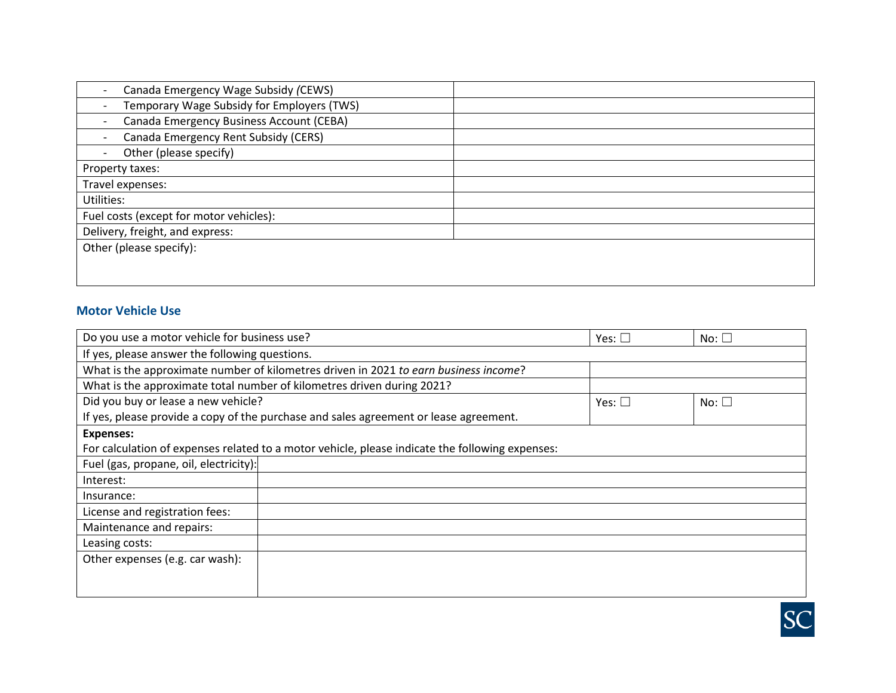| Canada Emergency Wage Subsidy (CEWS)       |  |
|--------------------------------------------|--|
| Temporary Wage Subsidy for Employers (TWS) |  |
| Canada Emergency Business Account (CEBA)   |  |
| Canada Emergency Rent Subsidy (CERS)       |  |
| Other (please specify)                     |  |
| Property taxes:                            |  |
| Travel expenses:                           |  |
| Utilities:                                 |  |
| Fuel costs (except for motor vehicles):    |  |
| Delivery, freight, and express:            |  |
| Other (please specify):                    |  |
|                                            |  |
|                                            |  |

## **Motor Vehicle Use**

| Do you use a motor vehicle for business use?                                                    | Yes: l         | No: $\square$ |  |  |
|-------------------------------------------------------------------------------------------------|----------------|---------------|--|--|
| If yes, please answer the following questions.                                                  |                |               |  |  |
| What is the approximate number of kilometres driven in 2021 to earn business income?            |                |               |  |  |
| What is the approximate total number of kilometres driven during 2021?                          |                |               |  |  |
| Did you buy or lease a new vehicle?                                                             | Yes: $\square$ | No: $\square$ |  |  |
| If yes, please provide a copy of the purchase and sales agreement or lease agreement.           |                |               |  |  |
| <b>Expenses:</b>                                                                                |                |               |  |  |
| For calculation of expenses related to a motor vehicle, please indicate the following expenses: |                |               |  |  |
| Fuel (gas, propane, oil, electricity):                                                          |                |               |  |  |
| Interest:                                                                                       |                |               |  |  |
| Insurance:                                                                                      |                |               |  |  |
| License and registration fees:                                                                  |                |               |  |  |
| Maintenance and repairs:                                                                        |                |               |  |  |
| Leasing costs:                                                                                  |                |               |  |  |
| Other expenses (e.g. car wash):                                                                 |                |               |  |  |
|                                                                                                 |                |               |  |  |
|                                                                                                 |                |               |  |  |